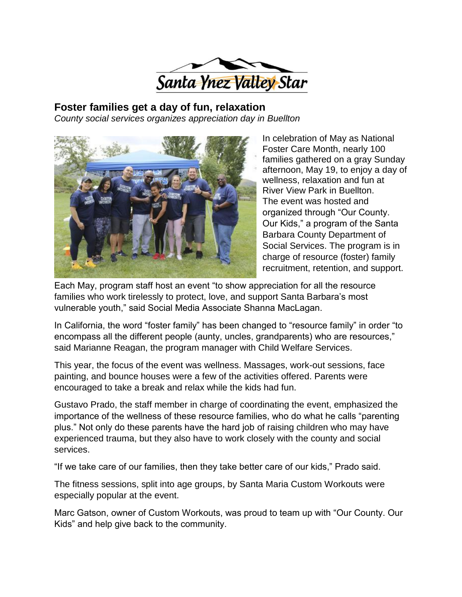

**Foster families get a day of fun, relaxation** *County social services organizes appreciation day in Buellton*



In celebration of May as National Foster Care Month, nearly 100 families gathered on a gray Sunday afternoon, May 19, to enjoy a day of wellness, relaxation and fun at River View Park in Buellton. The event was hosted and organized through "Our County. Our Kids," a program of the Santa Barbara County Department of Social Services. The program is in charge of resource (foster) family recruitment, retention, and support.

Each May, program staff host an event "to show appreciation for all the resource families who work tirelessly to protect, love, and support Santa Barbara's most vulnerable youth," said Social Media Associate Shanna MacLagan.

In California, the word "foster family" has been changed to "resource family" in order "to encompass all the different people (aunty, uncles, grandparents) who are resources," said Marianne Reagan, the program manager with Child Welfare Services.

This year, the focus of the event was wellness. Massages, work-out sessions, face painting, and bounce houses were a few of the activities offered. Parents were encouraged to take a break and relax while the kids had fun.

Gustavo Prado, the staff member in charge of coordinating the event, emphasized the importance of the wellness of these resource families, who do what he calls "parenting plus." Not only do these parents have the hard job of raising children who may have experienced trauma, but they also have to work closely with the county and social services.

"If we take care of our families, then they take better care of our kids," Prado said.

The fitness sessions, split into age groups, by Santa Maria Custom Workouts were especially popular at the event.

Marc Gatson, owner of Custom Workouts, was proud to team up with "Our County. Our Kids" and help give back to the community.